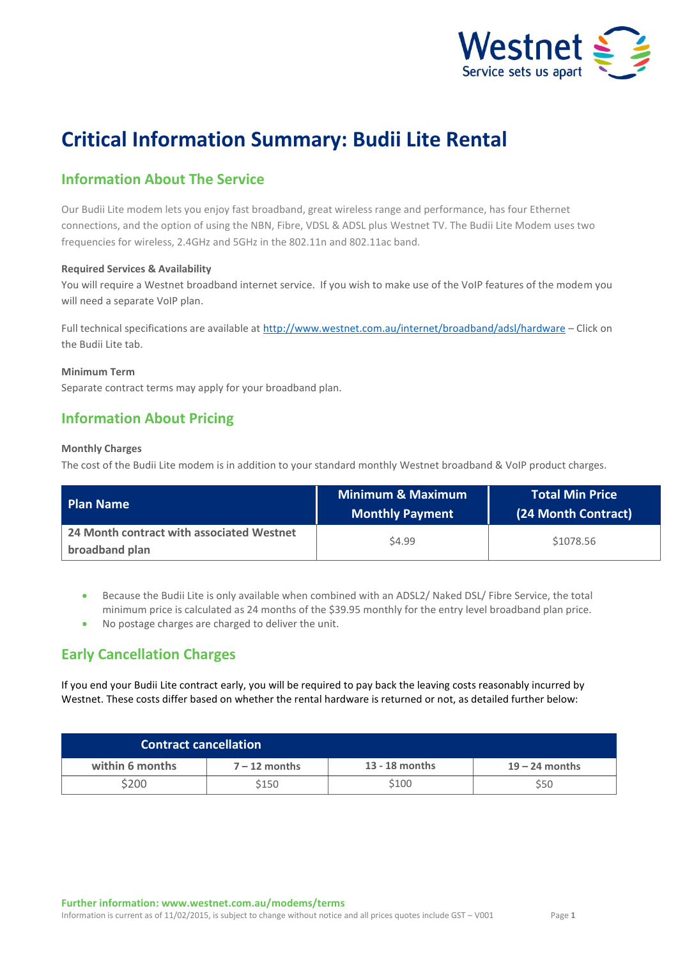

# **Critical Information Summary: Budii Lite Rental**

# **Information About The Service**

Our Budii Lite modem lets you enjoy fast broadband, great wireless range and performance, has four Ethernet connections, and the option of using the NBN, Fibre, VDSL & ADSL plus Westnet TV. The Budii Lite Modem uses two frequencies for wireless, 2.4GHz and 5GHz in the 802.11n and 802.11ac band.

### **Required Services & Availability**

You will require a Westnet broadband internet service. If you wish to make use of the VoIP features of the modem you will need a separate VoIP plan.

Full technical specifications are available at<http://www.westnet.com.au/internet/broadband/adsl/hardware> – Click on the Budii Lite tab.

### **Minimum Term**

Separate contract terms may apply for your broadband plan.

### **Information About Pricing**

### **Monthly Charges**

The cost of the Budii Lite modem is in addition to your standard monthly Westnet broadband & VoIP product charges.

| Plan Name                                                   | <b>Minimum &amp; Maximum</b><br><b>Monthly Payment</b> | <b>Total Min Price</b><br>(24 Month Contract) |
|-------------------------------------------------------------|--------------------------------------------------------|-----------------------------------------------|
| 24 Month contract with associated Westnet<br>broadband plan | \$4.99                                                 | \$1078.56                                     |

 Because the Budii Lite is only available when combined with an ADSL2/ Naked DSL/ Fibre Service, the total minimum price is calculated as 24 months of the \$39.95 monthly for the entry level broadband plan price.

No postage charges are charged to deliver the unit.

## **Early Cancellation Charges**

If you end your Budii Lite contract early, you will be required to pay back the leaving costs reasonably incurred by Westnet. These costs differ based on whether the rental hardware is returned or not, as detailed further below:

| <b>Contract cancellation</b> |                 |                |                  |  |
|------------------------------|-----------------|----------------|------------------|--|
| within 6 months              | $7 - 12$ months | 13 - 18 months | $19 - 24$ months |  |
| \$200                        | \$150           | \$100          | \$50             |  |